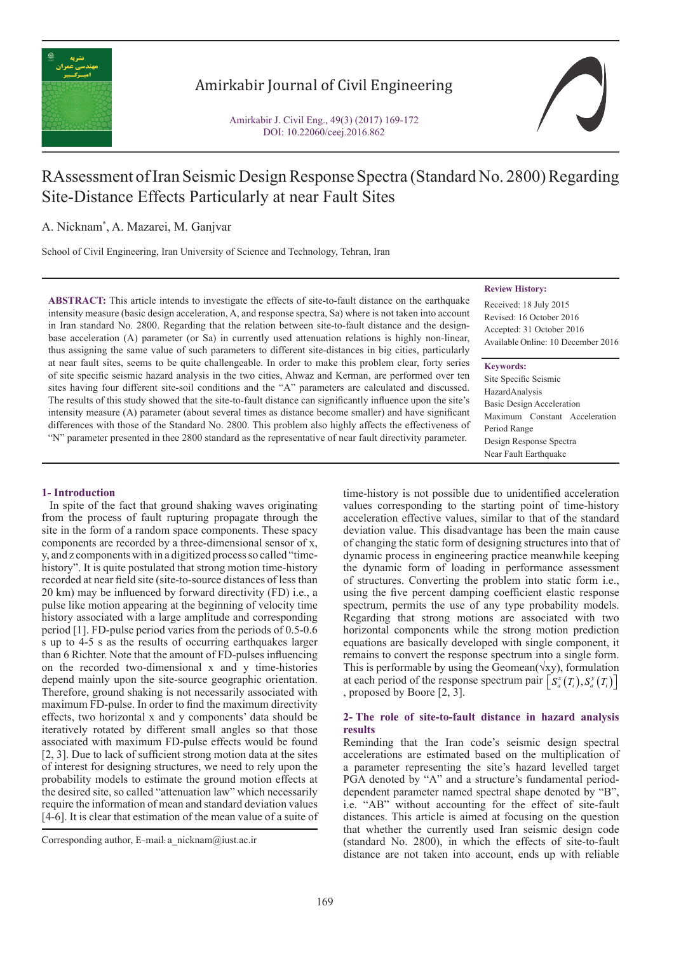

## Amirkabir Journal of Civil Engineering

Amirkabir J. Civil Eng., 49(3) (2017) 169-172 DOI: 10.22060/ceej.2016.862

# RAssessment of Iran Seismic Design Response Spectra (Standard No. 2800) Regarding Site-Distance Effects Particularly at near Fault Sites

A. Nicknam\* , A. Mazarei, M. Ganjvar

School of Civil Engineering, Iran University of Science and Technology, Tehran, Iran

**ABSTRACT:** This article intends to investigate the effects of site-to-fault distance on the earthquake intensity measure (basic design acceleration, A, and response spectra, Sa) where is not taken into account in Iran standard No. 2800. Regarding that the relation between site-to-fault distance and the designbase acceleration (A) parameter (or Sa) in currently used attenuation relations is highly non-linear, thus assigning the same value of such parameters to different site-distances in big cities, particularly at near fault sites, seems to be quite challengeable. In order to make this problem clear, forty series of site specific seismic hazard analysis in the two cities, Ahwaz and Kerman, are performed over ten sites having four different site-soil conditions and the "A" parameters are calculated and discussed. The results of this study showed that the site-to-fault distance can significantly influence upon the site's intensity measure (A) parameter (about several times as distance become smaller) and have significant differences with those of the Standard No. 2800. This problem also highly affects the effectiveness of "N" parameter presented in thee 2800 standard as the representative of near fault directivity parameter.

### **1- Introduction**

 In spite of the fact that ground shaking waves originating from the process of fault rupturing propagate through the site in the form of a random space components. These spacy components are recorded by a three-dimensional sensor of x, y, and z components with in a digitized process so called "timehistory". It is quite postulated that strong motion time-history recorded at near field site (site-to-source distances of less than 20 km) may be influenced by forward directivity (FD) i.e., a pulse like motion appearing at the beginning of velocity time history associated with a large amplitude and corresponding period [1]. FD-pulse period varies from the periods of 0.5-0.6 s up to 4-5 s as the results of occurring earthquakes larger than 6 Richter. Note that the amount of FD-pulses influencing on the recorded two-dimensional x and y time-histories depend mainly upon the site-source geographic orientation. Therefore, ground shaking is not necessarily associated with maximum FD-pulse. In order to find the maximum directivity effects, two horizontal x and y components' data should be iteratively rotated by different small angles so that those associated with maximum FD-pulse effects would be found [2, 3]. Due to lack of sufficient strong motion data at the sites of interest for designing structures, we need to rely upon the probability models to estimate the ground motion effects at the desired site, so called "attenuation law" which necessarily require the information of mean and standard deviation values [4-6]. It is clear that estimation of the mean value of a suite of

#### **Review History:**

Received: 18 July 2015 Revised: 16 October 2016 Accepted: 31 October 2016 Available Online: 10 December 2016

#### **Keywords:**

Site Specific Seismic HazardAnalysis Basic Design Acceleration Maximum Constant Acceleration Period Range Design Response Spectra Near Fault Earthquake

time-history is not possible due to unidentified acceleration values corresponding to the starting point of time-history acceleration effective values, similar to that of the standard deviation value. This disadvantage has been the main cause of changing the static form of designing structures into that of dynamic process in engineering practice meanwhile keeping the dynamic form of loading in performance assessment of structures. Converting the problem into static form i.e., using the five percent damping coefficient elastic response spectrum, permits the use of any type probability models. Regarding that strong motions are associated with two horizontal components while the strong motion prediction equations are basically developed with single component, it remains to convert the response spectrum into a single form. This is performable by using the Geomean( $\forall xy$ ), formulation at each period of the response spectrum pair  $\left[ S_a^x(T_i), S_a^y(T_i) \right]$ , proposed by Boore [2, 3].

#### **2- The role of site-to-fault distance in hazard analysis results**

Reminding that the Iran code's seismic design spectral accelerations are estimated based on the multiplication of a parameter representing the site's hazard levelled target PGA denoted by "A" and a structure's fundamental perioddependent parameter named spectral shape denoted by "B", i.e. "AB" without accounting for the effect of site-fault distances. This article is aimed at focusing on the question that whether the currently used Iran seismic design code (standard No. 2800), in which the effects of site-to-fault distance are not taken into account, ends up with reliable

Corresponding author, E-mail: a\_nicknam@iust.ac.ir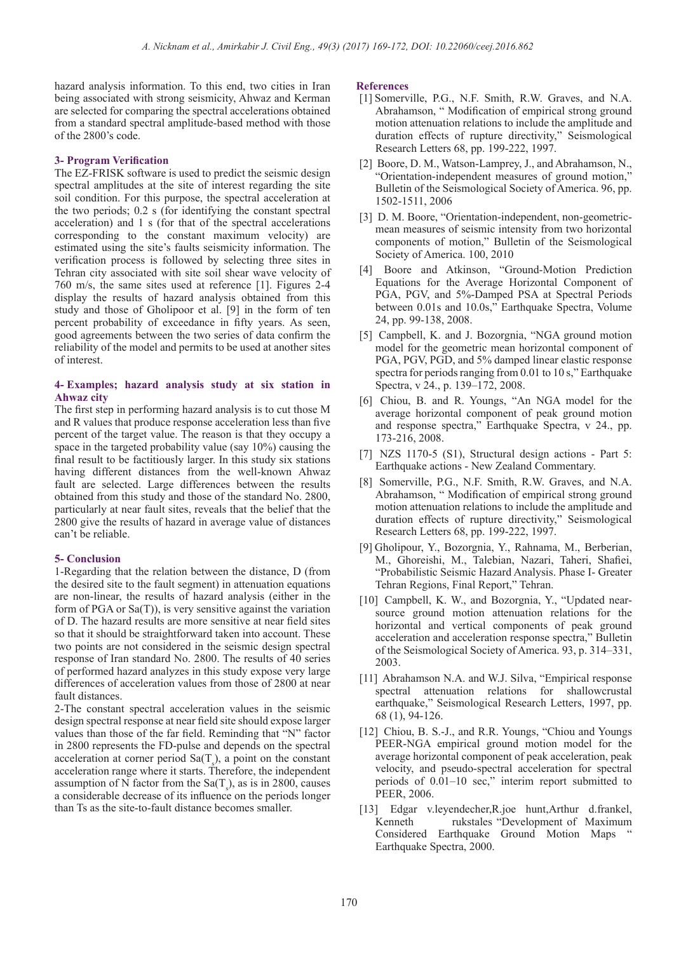hazard analysis information. To this end, two cities in Iran being associated with strong seismicity, Ahwaz and Kerman are selected for comparing the spectral accelerations obtained from a standard spectral amplitude-based method with those of the 2800's code.

#### **3- Program Verification**

The EZ-FRISK software is used to predict the seismic design spectral amplitudes at the site of interest regarding the site soil condition. For this purpose, the spectral acceleration at the two periods; 0.2 s (for identifying the constant spectral acceleration) and 1 s (for that of the spectral accelerations corresponding to the constant maximum velocity) are estimated using the site's faults seismicity information. The verification process is followed by selecting three sites in Tehran city associated with site soil shear wave velocity of 760 m/s, the same sites used at reference [1]. Figures 2-4 display the results of hazard analysis obtained from this study and those of Gholipoor et al. [9] in the form of ten percent probability of exceedance in fifty years. As seen, good agreements between the two series of data confirm the reliability of the model and permits to be used at another sites of interest.

#### **4- Examples; hazard analysis study at six station in Ahwaz city**

The first step in performing hazard analysis is to cut those M and R values that produce response acceleration less than five percent of the target value. The reason is that they occupy a space in the targeted probability value (say 10%) causing the final result to be factitiously larger. In this study six stations having different distances from the well-known Ahwaz fault are selected. Large differences between the results obtained from this study and those of the standard No. 2800, particularly at near fault sites, reveals that the belief that the 2800 give the results of hazard in average value of distances can't be reliable.

### **5- Conclusion**

1-Regarding that the relation between the distance, D (from the desired site to the fault segment) in attenuation equations are non-linear, the results of hazard analysis (either in the form of PGA or  $Sa(T)$ , is very sensitive against the variation of D. The hazard results are more sensitive at near field sites so that it should be straightforward taken into account. These two points are not considered in the seismic design spectral response of Iran standard No. 2800. The results of 40 series of performed hazard analyzes in this study expose very large differences of acceleration values from those of 2800 at near fault distances.

2-The constant spectral acceleration values in the seismic design spectral response at near field site should expose larger values than those of the far field. Reminding that "N" factor in 2800 represents the FD-pulse and depends on the spectral acceleration at corner period  $\text{Sa}(T_s)$ , a point on the constant acceleration range where it starts. Therefore, the independent assumption of N factor from the  $\text{Sa}(\text{T}_s)$ , as is in 2800, causes a considerable decrease of its influence on the periods longer than Ts as the site-to-fault distance becomes smaller.

#### **References**

- [1] Somerville, P.G., N.F. Smith, R.W. Graves, and N.A. Abrahamson, " Modification of empirical strong ground motion attenuation relations to include the amplitude and duration effects of rupture directivity," Seismological Research Letters 68, pp. 199-222, 1997.
- [2] Boore, D. M., Watson-Lamprey, J., and Abrahamson, N., "Orientation-independent measures of ground motion," Bulletin of the Seismological Society of America. 96, pp. 1502-1511, 2006
- [3] D. M. Boore, "Orientation-independent, non-geometricmean measures of seismic intensity from two horizontal components of motion," Bulletin of the Seismological Society of America. 100, 2010
- [4] Boore and Atkinson, "Ground-Motion Prediction Equations for the Average Horizontal Component of PGA, PGV, and 5%-Damped PSA at Spectral Periods between 0.01s and 10.0s," Earthquake Spectra, Volume 24, pp. 99-138, 2008.
- [5]  Campbell, K. and J. Bozorgnia, "NGA ground motion model for the geometric mean horizontal component of PGA, PGV, PGD, and 5% damped linear elastic response spectra for periods ranging from 0.01 to 10 s," Earthquake Spectra, v 24., p. 139–172, 2008.
- [6]  Chiou, B. and R. Youngs, "An NGA model for the average horizontal component of peak ground motion and response spectra," Earthquake Spectra, v 24., pp. 173-216, 2008.
- [7]  NZS 1170-5 (S1), Structural design actions Part 5: Earthquake actions - New Zealand Commentary.
- [8]  Somerville, P.G., N.F. Smith, R.W. Graves, and N.A. Abrahamson, " Modification of empirical strong ground motion attenuation relations to include the amplitude and duration effects of rupture directivity," Seismological Research Letters 68, pp. 199-222, 1997.
- [9] Gholipour, Y., Bozorgnia, Y., Rahnama, M., Berberian, M., Ghoreishi, M., Talebian, Nazari, Taheri, Shafiei, "Probabilistic Seismic Hazard Analysis. Phase I- Greater Tehran Regions, Final Report," Tehran.
- [10] Campbell, K. W., and Bozorgnia, Y., "Updated nearsource ground motion attenuation relations for the horizontal and vertical components of peak ground acceleration and acceleration response spectra," Bulletin of the Seismological Society of America. 93, p. 314–331, 2003.
- [11] Abrahamson N.A. and W.J. Silva, "Empirical response spectral attenuation relations for shallowcrustal earthquake," Seismological Research Letters, 1997, pp. 68 (1), 94-126.
- [12] Chiou, B. S.-J., and R.R. Youngs, "Chiou and Youngs PEER-NGA empirical ground motion model for the average horizontal component of peak acceleration, peak velocity, and pseudo-spectral acceleration for spectral periods of 0.01–10 sec," interim report submitted to PEER, 2006.
- [13]  Edgar v.leyendecher,R.joe hunt,Arthur d.frankel, Kenneth rukstales "Development of Maximum Considered Earthquake Ground Motion Maps Earthquake Spectra, 2000.